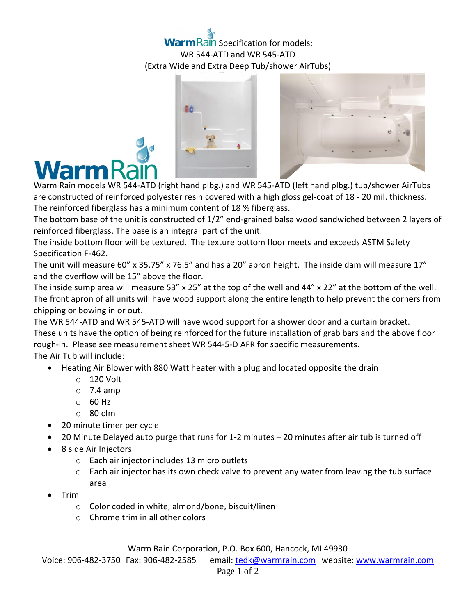## **Warm Rain Specification for models:** WR 544-ATD and WR 545-ATD (Extra Wide and Extra Deep Tub/shower AirTubs)





Warm Rain models WR 544-ATD (right hand plbg.) and WR 545-ATD (left hand plbg.) tub/shower AirTubs are constructed of reinforced polyester resin covered with a high gloss gel-coat of 18 - 20 mil. thickness. The reinforced fiberglass has a minimum content of 18 % fiberglass.

The bottom base of the unit is constructed of 1/2" end-grained balsa wood sandwiched between 2 layers of reinforced fiberglass. The base is an integral part of the unit.

The inside bottom floor will be textured. The texture bottom floor meets and exceeds ASTM Safety Specification F-462.

The unit will measure 60" x 35.75" x 76.5" and has a 20" apron height. The inside dam will measure 17" and the overflow will be 15" above the floor.

The inside sump area will measure 53" x 25" at the top of the well and 44" x 22" at the bottom of the well. The front apron of all units will have wood support along the entire length to help prevent the corners from chipping or bowing in or out.

The WR 544-ATD and WR 545-ATD will have wood support for a shower door and a curtain bracket. These units have the option of being reinforced for the future installation of grab bars and the above floor rough-in. Please see measurement sheet WR 544-5-D AFR for specific measurements. The Air Tub will include:

- Heating Air Blower with 880 Watt heater with a plug and located opposite the drain
	- o 120 Volt
	- $\circ$  7.4 amp
	- $\circ$  60 Hz
	- o 80 cfm
- 20 minute timer per cycle
- 20 Minute Delayed auto purge that runs for 1-2 minutes 20 minutes after air tub is turned off
- 8 side Air Injectors
	- o Each air injector includes 13 micro outlets
	- $\circ$  Each air injector has its own check valve to prevent any water from leaving the tub surface area
- Trim
	- o Color coded in white, almond/bone, biscuit/linen
	- o Chrome trim in all other colors

Warm Rain Corporation, P.O. Box 600, Hancock, MI 49930

Voice: 906-482-3750 Fax: 906-482-2585 email[: tedk@warmrain.com](mailto:tedk@warmrain.com) website: [www.warmrain.com](http://www.warmrain.com/)